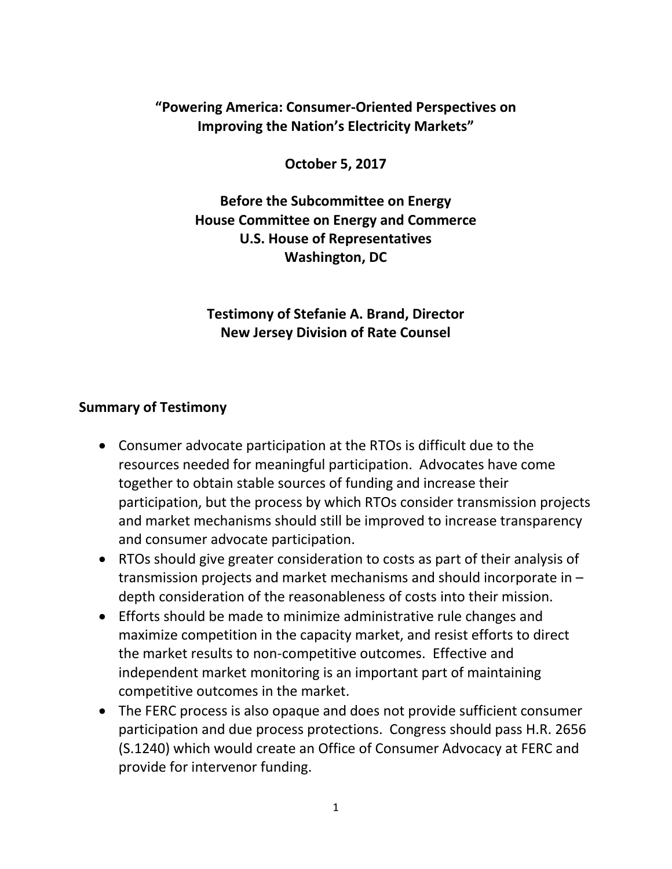## **"Powering America: Consumer-Oriented Perspectives on Improving the Nation's Electricity Markets"**

**October 5, 2017**

**Before the Subcommittee on Energy House Committee on Energy and Commerce U.S. House of Representatives Washington, DC**

**Testimony of Stefanie A. Brand, Director New Jersey Division of Rate Counsel**

## **Summary of Testimony**

- Consumer advocate participation at the RTOs is difficult due to the resources needed for meaningful participation. Advocates have come together to obtain stable sources of funding and increase their participation, but the process by which RTOs consider transmission projects and market mechanisms should still be improved to increase transparency and consumer advocate participation.
- RTOs should give greater consideration to costs as part of their analysis of transmission projects and market mechanisms and should incorporate in – depth consideration of the reasonableness of costs into their mission.
- Efforts should be made to minimize administrative rule changes and maximize competition in the capacity market, and resist efforts to direct the market results to non-competitive outcomes. Effective and independent market monitoring is an important part of maintaining competitive outcomes in the market.
- The FERC process is also opaque and does not provide sufficient consumer participation and due process protections. Congress should pass H.R. 2656 (S.1240) which would create an Office of Consumer Advocacy at FERC and provide for intervenor funding.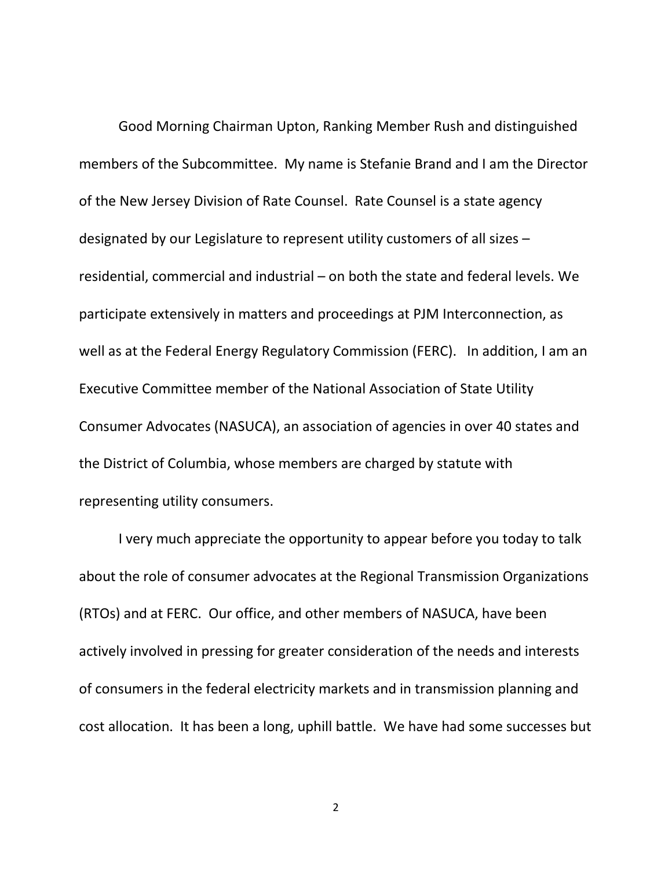Good Morning Chairman Upton, Ranking Member Rush and distinguished members of the Subcommittee. My name is Stefanie Brand and I am the Director of the New Jersey Division of Rate Counsel. Rate Counsel is a state agency designated by our Legislature to represent utility customers of all sizes – residential, commercial and industrial – on both the state and federal levels. We participate extensively in matters and proceedings at PJM Interconnection, as well as at the Federal Energy Regulatory Commission (FERC). In addition, I am an Executive Committee member of the National Association of State Utility Consumer Advocates (NASUCA), an association of agencies in over 40 states and the District of Columbia, whose members are charged by statute with representing utility consumers.

I very much appreciate the opportunity to appear before you today to talk about the role of consumer advocates at the Regional Transmission Organizations (RTOs) and at FERC. Our office, and other members of NASUCA, have been actively involved in pressing for greater consideration of the needs and interests of consumers in the federal electricity markets and in transmission planning and cost allocation. It has been a long, uphill battle. We have had some successes but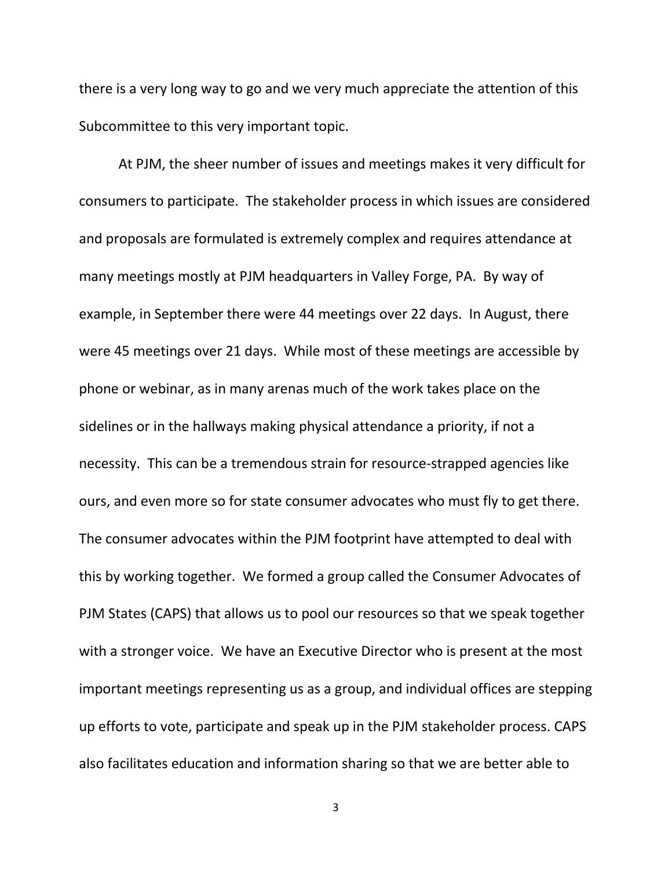there is a very long way to go and we very much appreciate the attention of this Subcommittee to this very important topic.

At PJM, the sheer number of issues and meetings makes it very difficult for consumers to participate. The stakeholder process in which issues are considered and proposals are formulated is extremely complex and requires attendance at many meetings mostly at PJM headquarters in Valley Forge, PA. By way of example, in September there were 44 meetings over 22 days. In August, there were 45 meetings over 21 days. While most of these meetings are accessible by phone or webinar, as in many arenas much of the work takes place on the sidelines or in the hallways making physical attendance a priority, if not a necessity. This can be a tremendous strain for resource-strapped agencies like ours, and even more so for state consumer advocates who must fly to get there. The consumer advocates within the PJM footprint have attempted to deal with this by working together. We formed a group called the Consumer Advocates of PJM States (CAPS) that allows us to pool our resources so that we speak together with a stronger voice. We have an Executive Director who is present at the most important meetings representing us as a group, and individual offices are stepping up efforts to vote, participate and speak up in the PJM stakeholder process. CAPS also facilitates education and information sharing so that we are better able to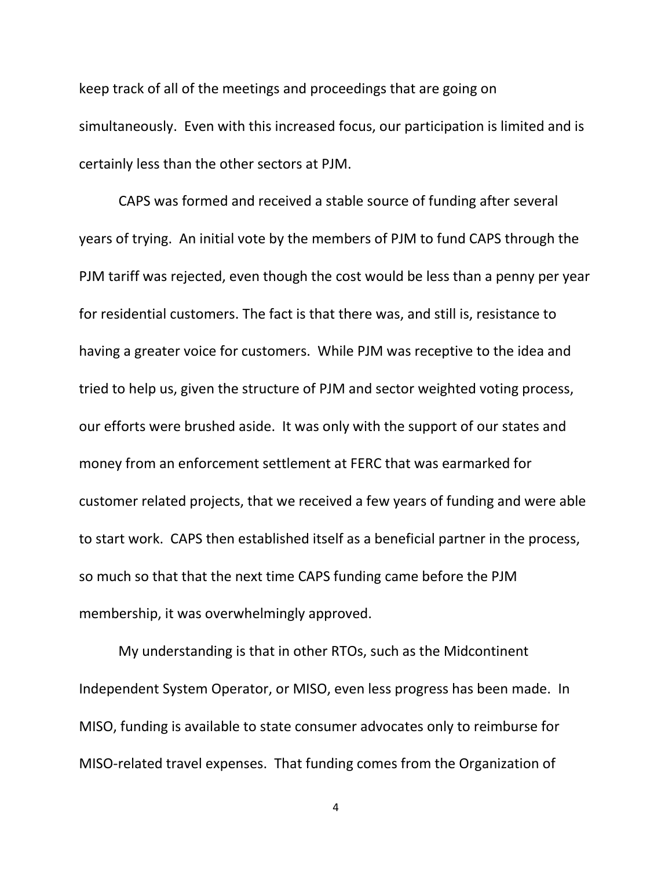keep track of all of the meetings and proceedings that are going on simultaneously. Even with this increased focus, our participation is limited and is certainly less than the other sectors at PJM.

CAPS was formed and received a stable source of funding after several years of trying. An initial vote by the members of PJM to fund CAPS through the PJM tariff was rejected, even though the cost would be less than a penny per year for residential customers. The fact is that there was, and still is, resistance to having a greater voice for customers. While PJM was receptive to the idea and tried to help us, given the structure of PJM and sector weighted voting process, our efforts were brushed aside. It was only with the support of our states and money from an enforcement settlement at FERC that was earmarked for customer related projects, that we received a few years of funding and were able to start work. CAPS then established itself as a beneficial partner in the process, so much so that that the next time CAPS funding came before the PJM membership, it was overwhelmingly approved.

My understanding is that in other RTOs, such as the Midcontinent Independent System Operator, or MISO, even less progress has been made. In MISO, funding is available to state consumer advocates only to reimburse for MISO-related travel expenses. That funding comes from the Organization of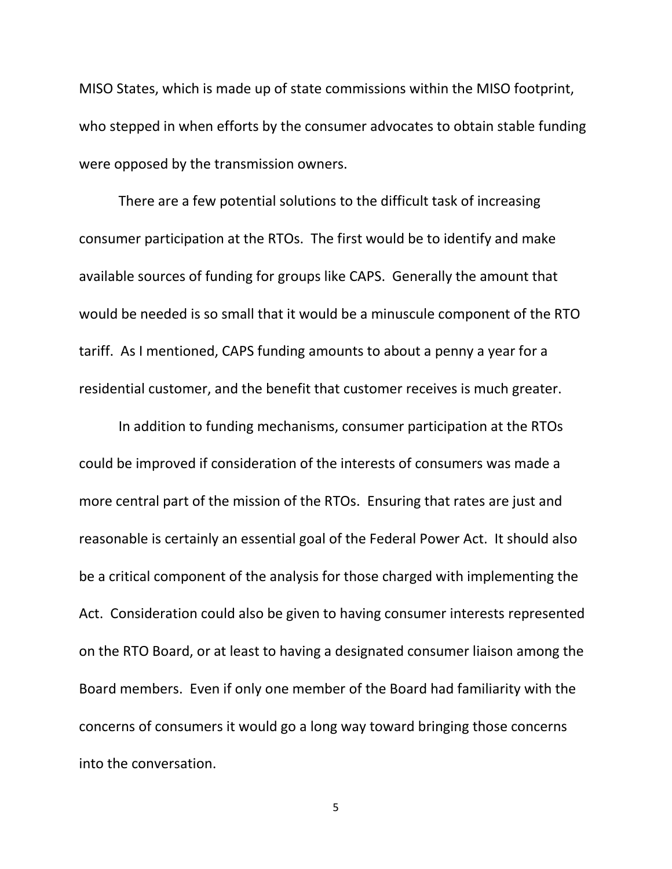MISO States, which is made up of state commissions within the MISO footprint, who stepped in when efforts by the consumer advocates to obtain stable funding were opposed by the transmission owners.

There are a few potential solutions to the difficult task of increasing consumer participation at the RTOs. The first would be to identify and make available sources of funding for groups like CAPS. Generally the amount that would be needed is so small that it would be a minuscule component of the RTO tariff. As I mentioned, CAPS funding amounts to about a penny a year for a residential customer, and the benefit that customer receives is much greater.

In addition to funding mechanisms, consumer participation at the RTOs could be improved if consideration of the interests of consumers was made a more central part of the mission of the RTOs. Ensuring that rates are just and reasonable is certainly an essential goal of the Federal Power Act. It should also be a critical component of the analysis for those charged with implementing the Act. Consideration could also be given to having consumer interests represented on the RTO Board, or at least to having a designated consumer liaison among the Board members. Even if only one member of the Board had familiarity with the concerns of consumers it would go a long way toward bringing those concerns into the conversation.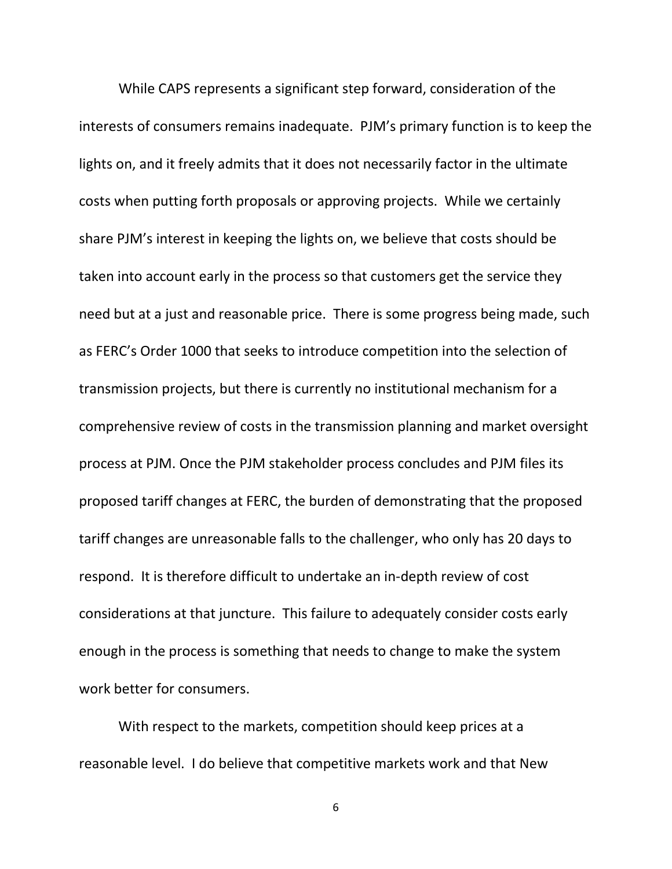While CAPS represents a significant step forward, consideration of the interests of consumers remains inadequate. PJM's primary function is to keep the lights on, and it freely admits that it does not necessarily factor in the ultimate costs when putting forth proposals or approving projects. While we certainly share PJM's interest in keeping the lights on, we believe that costs should be taken into account early in the process so that customers get the service they need but at a just and reasonable price. There is some progress being made, such as FERC's Order 1000 that seeks to introduce competition into the selection of transmission projects, but there is currently no institutional mechanism for a comprehensive review of costs in the transmission planning and market oversight process at PJM. Once the PJM stakeholder process concludes and PJM files its proposed tariff changes at FERC, the burden of demonstrating that the proposed tariff changes are unreasonable falls to the challenger, who only has 20 days to respond. It is therefore difficult to undertake an in-depth review of cost considerations at that juncture. This failure to adequately consider costs early enough in the process is something that needs to change to make the system work better for consumers.

With respect to the markets, competition should keep prices at a reasonable level. I do believe that competitive markets work and that New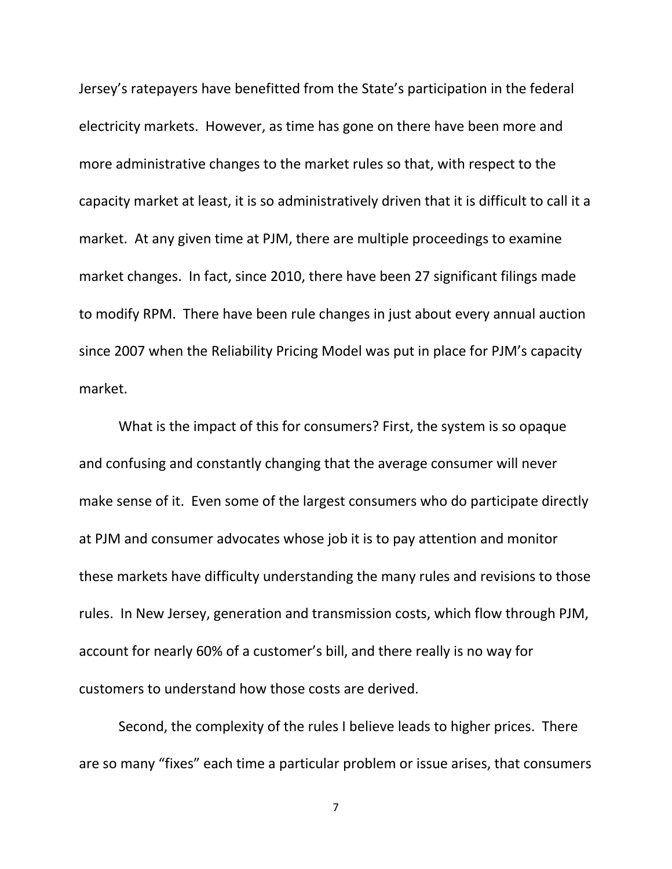Jersey's ratepayers have benefitted from the State's participation in the federal electricity markets. However, as time has gone on there have been more and more administrative changes to the market rules so that, with respect to the capacity market at least, it is so administratively driven that it is difficult to call it a market. At any given time at PJM, there are multiple proceedings to examine market changes. In fact, since 2010, there have been 27 significant filings made to modify RPM. There have been rule changes in just about every annual auction since 2007 when the Reliability Pricing Model was put in place for PJM's capacity market.

What is the impact of this for consumers? First, the system is so opaque and confusing and constantly changing that the average consumer will never make sense of it. Even some of the largest consumers who do participate directly at PJM and consumer advocates whose job it is to pay attention and monitor these markets have difficulty understanding the many rules and revisions to those rules. In New Jersey, generation and transmission costs, which flow through PJM, account for nearly 60% of a customer's bill, and there really is no way for customers to understand how those costs are derived.

Second, the complexity of the rules I believe leads to higher prices. There are so many "fixes" each time a particular problem or issue arises, that consumers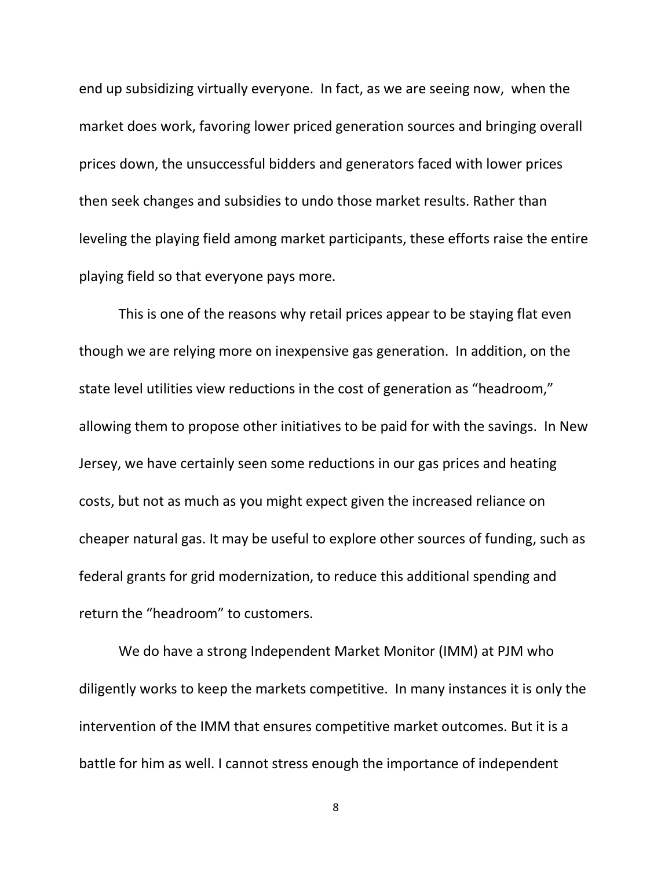end up subsidizing virtually everyone. In fact, as we are seeing now, when the market does work, favoring lower priced generation sources and bringing overall prices down, the unsuccessful bidders and generators faced with lower prices then seek changes and subsidies to undo those market results. Rather than leveling the playing field among market participants, these efforts raise the entire playing field so that everyone pays more.

This is one of the reasons why retail prices appear to be staying flat even though we are relying more on inexpensive gas generation. In addition, on the state level utilities view reductions in the cost of generation as "headroom," allowing them to propose other initiatives to be paid for with the savings. In New Jersey, we have certainly seen some reductions in our gas prices and heating costs, but not as much as you might expect given the increased reliance on cheaper natural gas. It may be useful to explore other sources of funding, such as federal grants for grid modernization, to reduce this additional spending and return the "headroom" to customers.

We do have a strong Independent Market Monitor (IMM) at PJM who diligently works to keep the markets competitive. In many instances it is only the intervention of the IMM that ensures competitive market outcomes. But it is a battle for him as well. I cannot stress enough the importance of independent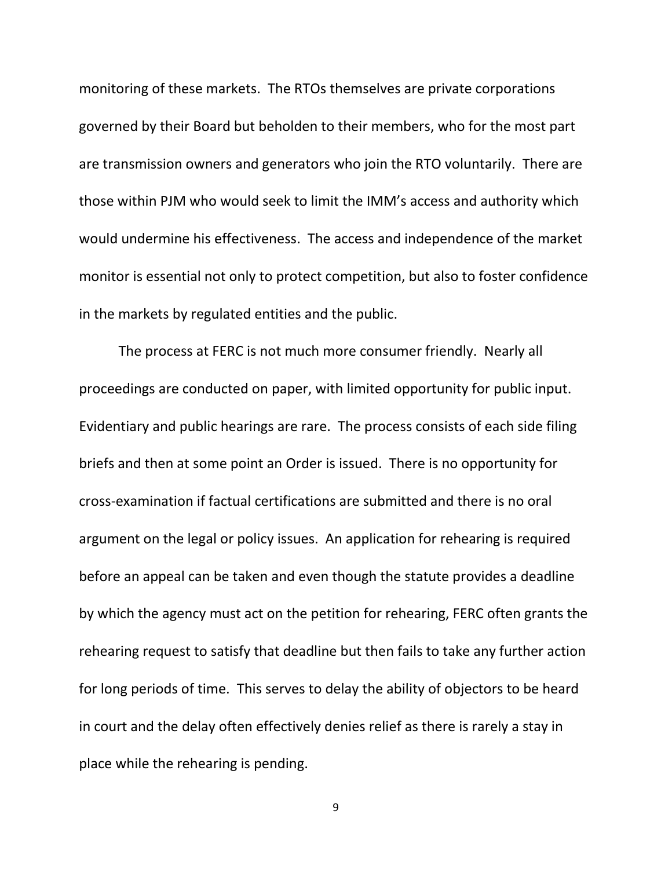monitoring of these markets. The RTOs themselves are private corporations governed by their Board but beholden to their members, who for the most part are transmission owners and generators who join the RTO voluntarily. There are those within PJM who would seek to limit the IMM's access and authority which would undermine his effectiveness. The access and independence of the market monitor is essential not only to protect competition, but also to foster confidence in the markets by regulated entities and the public.

The process at FERC is not much more consumer friendly. Nearly all proceedings are conducted on paper, with limited opportunity for public input. Evidentiary and public hearings are rare. The process consists of each side filing briefs and then at some point an Order is issued. There is no opportunity for cross-examination if factual certifications are submitted and there is no oral argument on the legal or policy issues. An application for rehearing is required before an appeal can be taken and even though the statute provides a deadline by which the agency must act on the petition for rehearing, FERC often grants the rehearing request to satisfy that deadline but then fails to take any further action for long periods of time. This serves to delay the ability of objectors to be heard in court and the delay often effectively denies relief as there is rarely a stay in place while the rehearing is pending.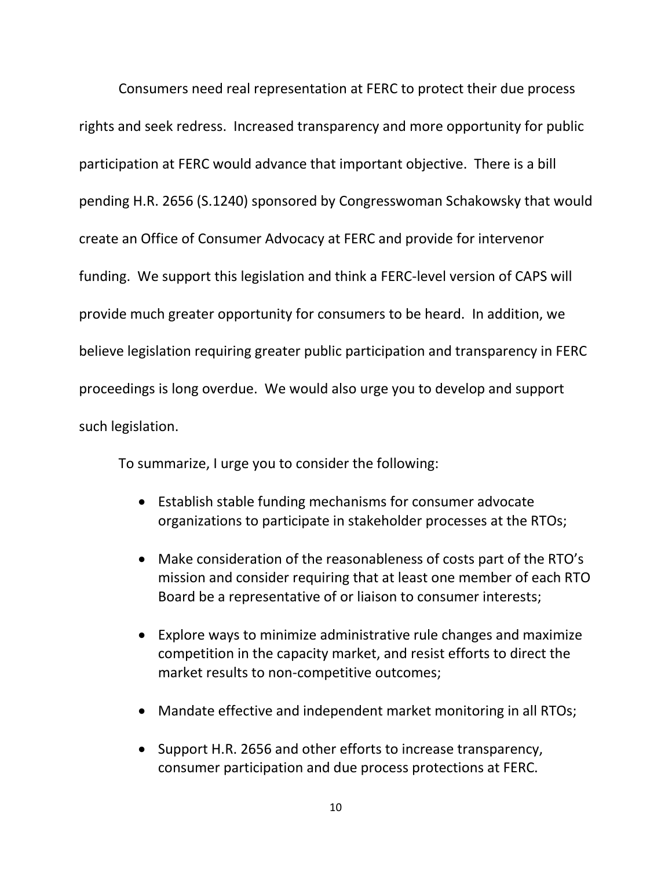Consumers need real representation at FERC to protect their due process rights and seek redress. Increased transparency and more opportunity for public participation at FERC would advance that important objective. There is a bill pending H.R. 2656 (S.1240) sponsored by Congresswoman Schakowsky that would create an Office of Consumer Advocacy at FERC and provide for intervenor funding. We support this legislation and think a FERC-level version of CAPS will provide much greater opportunity for consumers to be heard. In addition, we believe legislation requiring greater public participation and transparency in FERC proceedings is long overdue. We would also urge you to develop and support such legislation.

To summarize, I urge you to consider the following:

- Establish stable funding mechanisms for consumer advocate organizations to participate in stakeholder processes at the RTOs;
- Make consideration of the reasonableness of costs part of the RTO's mission and consider requiring that at least one member of each RTO Board be a representative of or liaison to consumer interests;
- Explore ways to minimize administrative rule changes and maximize competition in the capacity market, and resist efforts to direct the market results to non-competitive outcomes;
- Mandate effective and independent market monitoring in all RTOs;
- Support H.R. 2656 and other efforts to increase transparency, consumer participation and due process protections at FERC.